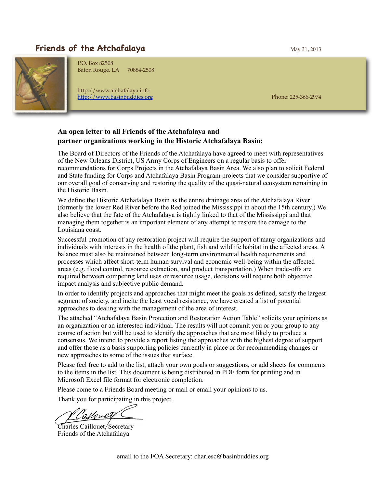## **Friends of the Atchafalaya** May 31, 2013



P.O. Box 82508 Baton Rouge, LA 70884-2508

http://www.atchafalaya.info <http://www.basinbuddies.org> Phone: 225-366-2974

## **An open letter to all Friends of the Atchafalaya and partner organizations working in the Historic Atchafalaya Basin:**

The Board of Directors of the Friends of the Atchafalaya have agreed to meet with representatives of the New Orleans District, US Army Corps of Engineers on a regular basis to offer recommendations for Corps Projects in the Atchafalaya Basin Area. We also plan to solicit Federal and State funding for Corps and Atchafalaya Basin Program projects that we consider supportive of our overall goal of conserving and restoring the quality of the quasi-natural ecosystem remaining in the Historic Basin.

We define the Historic Atchafalaya Basin as the entire drainage area of the Atchafalaya River (formerly the lower Red River before the Red joined the Mississippi in about the 15th century.) We also believe that the fate of the Atchafalaya is tightly linked to that of the Mississippi and that managing them together is an important element of any attempt to restore the damage to the Louisiana coast.

Successful promotion of any restoration project will require the support of many organizations and individuals with interests in the health of the plant, fish and wildlife habitat in the affected areas. A balance must also be maintained between long-term environmental health requirements and processes which affect short-term human survival and economic well-being within the affected areas (e.g. flood control, resource extraction, and product transportation.) When trade-offs are required between competing land uses or resource usage, decisions will require both objective impact analysis and subjective public demand.

In order to identify projects and approaches that might meet the goals as defined, satisfy the largest segment of society, and incite the least vocal resistance, we have created a list of potential approaches to dealing with the management of the area of interest.

The attached "Atchafalaya Basin Protection and Restoration Action Table" solicits your opinions as an organization or an interested individual. The results will not commit you or your group to any course of action but will be used to identify the approaches that are most likely to produce a consensus. We intend to provide a report listing the approaches with the highest degree of support and offer those as a basis supporting policies currently in place or for recommending changes or new approaches to some of the issues that surface.

Please feel free to add to the list, attach your own goals or suggestions, or add sheets for comments to the items in the list. This document is being distributed in PDF form for printing and in Microsoft Excel file format for electronic completion.

Please come to a Friends Board meeting or mail or email your opinions to us.

Thank you for participating in this project.

Charles Caillouet, Secretary Friends of the Atchafalaya